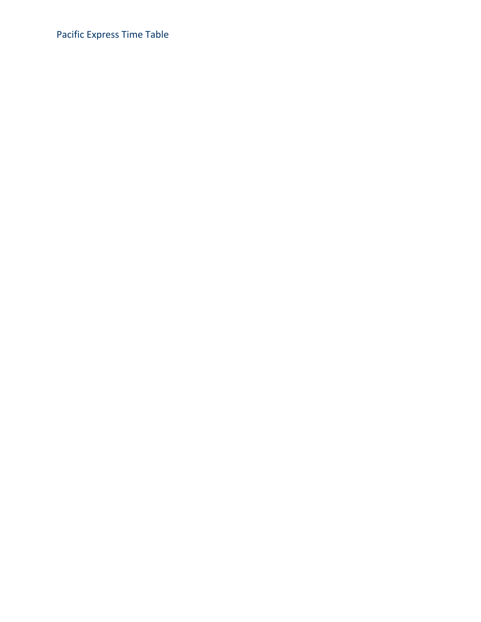Pacific Express Time Table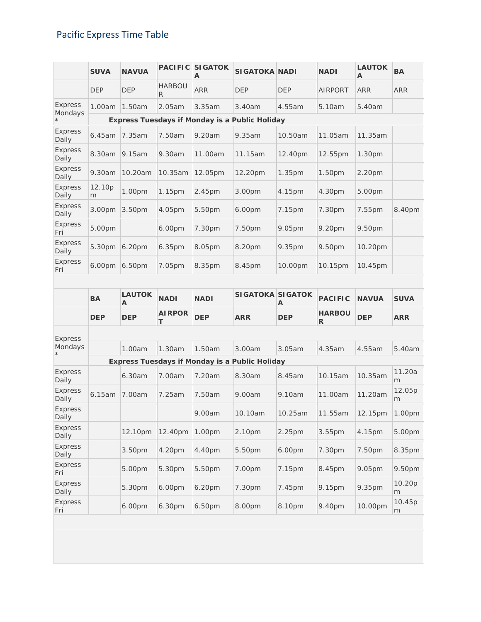## Pacific Express Time Table

|                         | <b>SUVA</b> | <b>NAVUA</b>       |                    | <b>PACIFIC SIGATOK</b><br>A | <b>SIGATOKA NADI</b>                                  |            | <b>NADI</b>    | <b>LAUTOK</b><br>A | <b>BA</b>  |
|-------------------------|-------------|--------------------|--------------------|-----------------------------|-------------------------------------------------------|------------|----------------|--------------------|------------|
|                         | <b>DEP</b>  | <b>DEP</b>         | <b>HARBOU</b><br>R | <b>ARR</b>                  | <b>DEP</b>                                            | <b>DEP</b> | <b>AIRPORT</b> | <b>ARR</b>         | <b>ARR</b> |
| <b>Express</b>          | 1.00am      | 1.50am             | 2.05am             | 3.35am                      | 3.40am                                                | 4.55am     | 5.10am         | 5.40am             |            |
| Mondays<br>$^{\star}$   |             |                    |                    |                             | <b>Express Tuesdays if Monday is a Public Holiday</b> |            |                |                    |            |
| Express<br>Daily        | 6.45am      | 7.35am             | 7.50am             | 9.20am                      | 9.35am                                                | 10.50am    | 11.05am        | 11.35am            |            |
| Express<br>Daily        | 8.30am      | 9.15am             | 9.30am             | 11.00am                     | 11.15am                                               | 12.40pm    | 12.55pm        | 1.30pm             |            |
| <b>Express</b><br>Daily | 9.30am      | 10.20am            | 10.35am            | 12.05pm                     | 12.20pm                                               | 1.35pm     | 1.50pm         | 2.20 <sub>pm</sub> |            |
| <b>Express</b><br>Daily | 12.10p<br>m | 1.00pm             | 1.15pm             | 2.45pm                      | 3.00pm                                                | 4.15pm     | 4.30pm         | 5.00pm             |            |
| <b>Express</b><br>Daily | 3.00pm      | 3.50 <sub>pm</sub> | 4.05pm             | 5.50pm                      | 6.00pm                                                | 7.15pm     | 7.30pm         | 7.55pm             | 8.40pm     |
| Express<br>Fri          | 5.00pm      |                    | 6.00pm             | 7.30pm                      | 7.50pm                                                | 9.05pm     | 9.20pm         | 9.50pm             |            |
| Express<br>Daily        | 5.30pm      | 6.20 <sub>pm</sub> | 6.35pm             | 8.05pm                      | 8.20pm                                                | 9.35pm     | 9.50pm         | 10.20pm            |            |
| Express<br>Fri          | 6.00pm      | 6.50pm             | 7.05pm             | 8.35pm                      | 8.45pm                                                | 10.00pm    | 10.15pm        | 10.45pm            |            |

|                         | <b>BA</b>  | <b>LAUTOK</b><br>A | <b>NADI</b>        | <b>NADI</b> | <b>SIGATOKA SIGATOK</b>                               | A          | <b>PACIFIC</b>     | <b>NAVUA</b> | <b>SUVA</b> |
|-------------------------|------------|--------------------|--------------------|-------------|-------------------------------------------------------|------------|--------------------|--------------|-------------|
|                         | <b>DEP</b> | <b>DEP</b>         | <b>AIRPOR</b><br>т | <b>DEP</b>  | <b>ARR</b>                                            | <b>DEP</b> | <b>HARBOU</b><br>R | <b>DEP</b>   | <b>ARR</b>  |
| <b>Express</b>          |            |                    |                    |             |                                                       |            |                    |              |             |
| Mondays<br>$\star$      |            | 1.00am             | 1.30am             | 1.50am      | 3.00am                                                | 3.05am     | 4.35am             | 4.55am       | 5.40am      |
|                         |            |                    |                    |             | <b>Express Tuesdays if Monday is a Public Holiday</b> |            |                    |              |             |
| <b>Express</b><br>Daily |            | 6.30am             | 7.00am             | 7.20am      | 8.30am                                                | 8.45am     | 10.15am            | 10.35am      | 11.20a<br>m |
| <b>Express</b><br>Daily | 6.15am     | 7.00am             | 7.25am             | 7.50am      | 9.00am                                                | 9.10am     | 11.00am            | 11.20am      | 12.05p<br>m |
| <b>Express</b><br>Daily |            |                    |                    | 9.00am      | 10.10am                                               | 10.25am    | 11.55am            | 12.15pm      | 1.00pm      |
| <b>Express</b><br>Daily |            | 12.10pm            | 12.40pm            | 1.00pm      | 2.10pm                                                | 2.25pm     | 3.55 <sub>pm</sub> | 4.15pm       | 5.00pm      |
| Express<br>Daily        |            | 3.50pm             | 4.20pm             | 4.40pm      | 5.50pm                                                | 6.00pm     | 7.30pm             | 7.50pm       | 8.35pm      |
| Express<br>Fri          |            | 5.00pm             | 5.30pm             | 5.50pm      | 7.00pm                                                | 7.15pm     | 8.45pm             | 9.05pm       | 9.50pm      |
| <b>Express</b><br>Daily |            | 5.30pm             | 6.00pm             | 6.20pm      | 7.30pm                                                | 7.45pm     | 9.15pm             | 9.35pm       | 10.20p<br>m |
| <b>Express</b><br>Fri   |            | 6.00pm             | 6.30pm             | 6.50pm      | 8.00pm                                                | 8.10pm     | 9.40pm             | 10.00pm      | 10.45p<br>m |
|                         |            |                    |                    |             |                                                       |            |                    |              |             |